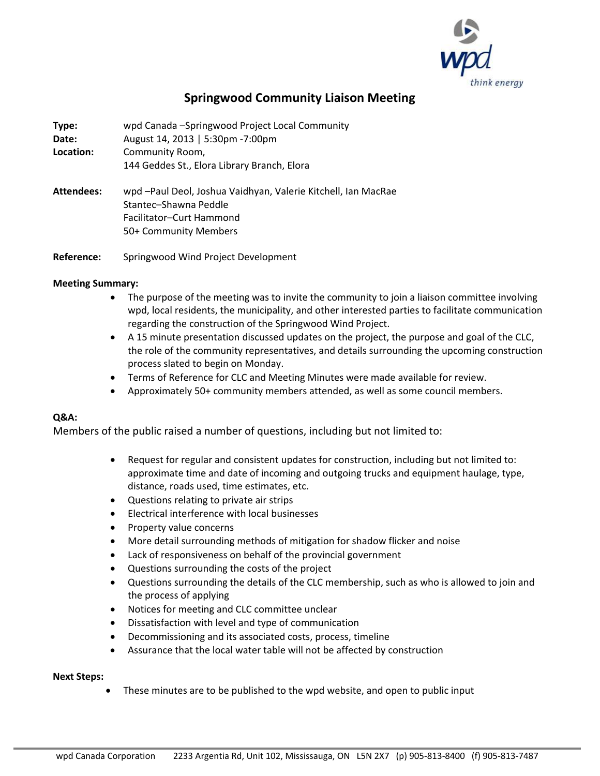

## **Springwood Community Liaison Meeting**

**Type:** wpd Canada –Springwood Project Local Community **Date:** August 14, 2013 | 5:30pm -7:00pm **Location:** Community Room, 144 Geddes St., Elora Library Branch, Elora **Attendees:** wpd –Paul Deol, Joshua Vaidhyan, Valerie Kitchell, Ian MacRae Stantec–Shawna Peddle Facilitator–Curt Hammond 50+ Community Members

**Reference:** Springwood Wind Project Development

## **Meeting Summary:**

- The purpose of the meeting was to invite the community to join a liaison committee involving wpd, local residents, the municipality, and other interested parties to facilitate communication regarding the construction of the Springwood Wind Project.
- A 15 minute presentation discussed updates on the project, the purpose and goal of the CLC, the role of the community representatives, and details surrounding the upcoming construction process slated to begin on Monday.
- Terms of Reference for CLC and Meeting Minutes were made available for review.
- Approximately 50+ community members attended, as well as some council members.

## **Q&A:**

Members of the public raised a number of questions, including but not limited to:

- Request for regular and consistent updates for construction, including but not limited to: approximate time and date of incoming and outgoing trucks and equipment haulage, type, distance, roads used, time estimates, etc.
- Questions relating to private air strips
- Electrical interference with local businesses
- Property value concerns
- More detail surrounding methods of mitigation for shadow flicker and noise
- Lack of responsiveness on behalf of the provincial government
- Questions surrounding the costs of the project
- Questions surrounding the details of the CLC membership, such as who is allowed to join and the process of applying
- Notices for meeting and CLC committee unclear
- Dissatisfaction with level and type of communication
- Decommissioning and its associated costs, process, timeline
- Assurance that the local water table will not be affected by construction

## **Next Steps:**

• These minutes are to be published to the wpd website, and open to public input